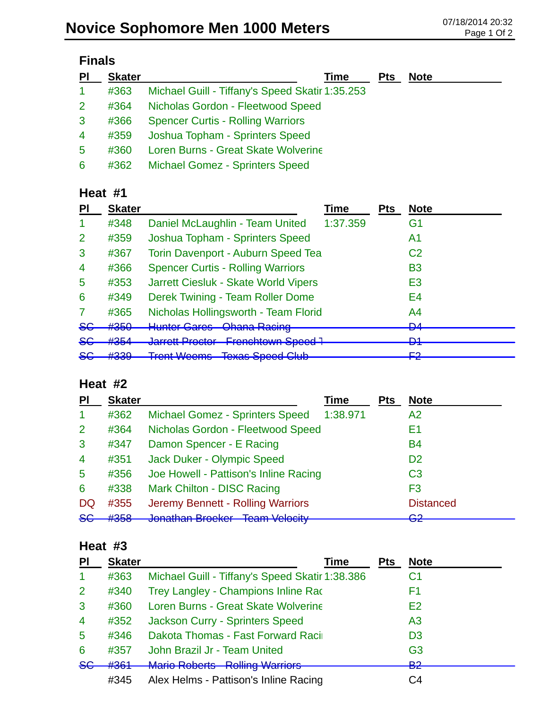| PI                   | <b>Skater</b> | Time                                            | <b>Pts</b> | <b>Note</b> |
|----------------------|---------------|-------------------------------------------------|------------|-------------|
| $\blacktriangleleft$ | #363          | Michael Guill - Tiffany's Speed Skatir 1:35.253 |            |             |
| 2                    | #364          | Nicholas Gordon - Fleetwood Speed               |            |             |
| 3                    | #366          | <b>Spencer Curtis - Rolling Warriors</b>        |            |             |
| $\overline{4}$       | #359          | Joshua Topham - Sprinters Speed                 |            |             |
| 5                    | #360          | Loren Burns - Great Skate Wolverine             |            |             |
| 6                    | #362          | <b>Michael Gomez - Sprinters Speed</b>          |            |             |

### **Heat #1**

| PI            | <b>Skater</b>                |                                                                             | Time     | <b>Pts</b> | <b>Note</b>    |
|---------------|------------------------------|-----------------------------------------------------------------------------|----------|------------|----------------|
|               | #348                         | Daniel McLaughlin - Team United                                             | 1:37.359 |            | G1             |
| 2             | #359                         | Joshua Topham - Sprinters Speed                                             |          |            | Α1             |
| 3             | #367                         | <b>Torin Davenport - Auburn Speed Tea</b>                                   |          |            | C <sub>2</sub> |
| 4             | #366                         | <b>Spencer Curtis - Rolling Warriors</b>                                    |          |            | B3             |
| 5             | #353                         | Jarrett Ciesluk - Skate World Vipers                                        |          |            | E3             |
| 6             | #349                         | Derek Twining - Team Roller Dome                                            |          |            | E4             |
|               | #365                         | Nicholas Hollingsworth - Team Florid                                        |          |            | A4             |
| <del>SG</del> | #350                         | Hunter Caros Chana Paoina<br><b>Undria Raving</b><br><del>numor oaroo</del> |          |            | <b>DA</b><br>▱ |
| $86$          | $H$ 25 $\Lambda$<br>11 J J H | Jarrett Proctor Frenchtown Speed 1<br><del>vanou Toolor</del>               |          |            | D1<br>◘        |
| <del>SG</del> | 4000<br>ᡣ᠊ᠣᠥᠣ                | <b>Trent Weems Texas Speed Club</b>                                         |          |            | ⊏ว<br>┏        |

### **Heat #2**

| PI                   | <b>Skater</b>                        |                                                                                    | Time     | <b>Pts</b> | <b>Note</b>        |
|----------------------|--------------------------------------|------------------------------------------------------------------------------------|----------|------------|--------------------|
| $\blacktriangleleft$ | #362                                 | Michael Gomez - Sprinters Speed                                                    | 1:38.971 |            | A2                 |
| $\overline{2}$       | #364                                 | Nicholas Gordon - Fleetwood Speed                                                  |          |            | E1                 |
| 3                    | #347                                 | Damon Spencer - E Racing                                                           |          |            | <b>B4</b>          |
| $\overline{4}$       | #351                                 | <b>Jack Duker - Olympic Speed</b>                                                  |          |            | D <sub>2</sub>     |
| 5                    | #356                                 | Joe Howell - Pattison's Inline Racing                                              |          |            | C <sub>3</sub>     |
| 6                    | #338                                 | <b>Mark Chilton - DISC Racing</b>                                                  |          |            | F <sub>3</sub>     |
| DQ.                  | #355                                 | Jeremy Bennett - Rolling Warriors                                                  |          |            | <b>Distanced</b>   |
| <del>SG</del>        | H <sub>2E<sub>0</sub></sub><br>ᡣ᠊ᠣᠣᠥ | Lanathan Proglege Toam Valogity<br><u>JUHAMAN DIUUNUT</u><br><u>Toann voloolty</u> |          |            | ററ<br>$\mathbf{Z}$ |

### **Heat #3**

| PI             | <b>Skater</b> | Time                                            | Pts | <b>Note</b>    |
|----------------|---------------|-------------------------------------------------|-----|----------------|
| -1             | #363          | Michael Guill - Tiffany's Speed Skatir 1:38.386 |     | C1             |
| $\overline{2}$ | #340          | Trey Langley - Champions Inline Rad             |     | F1             |
| $\mathbf{3}$   | #360          | Loren Burns - Great Skate Wolverine             |     | E <sub>2</sub> |
| $\overline{4}$ | #352          | Jackson Curry - Sprinters Speed                 |     | A <sub>3</sub> |
| 5              | #346          | Dakota Thomas - Fast Forward Raci               |     | D <sub>3</sub> |
| 6              | #357          | John Brazil Jr - Team United                    |     | G <sub>3</sub> |
| 8 <sub>G</sub> | #364          | <b>Mario Roberts - Rolling Warriors</b>         |     | മാ<br>e za     |
|                | #345          | Alex Helms - Pattison's Inline Racing           |     | C4             |